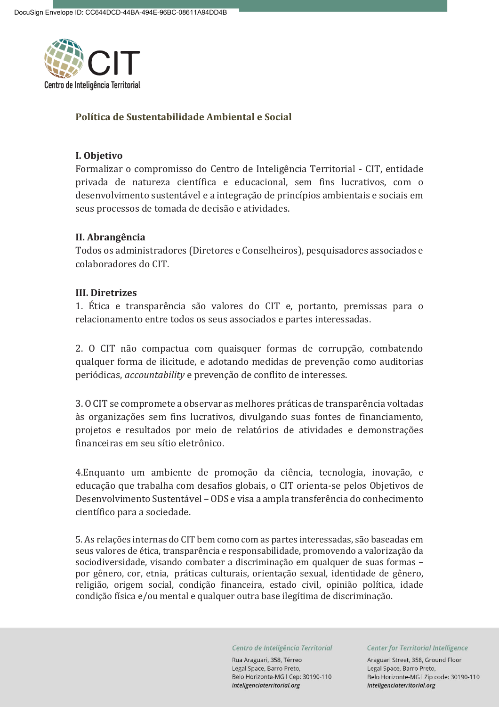

## **Política de Sustentabilidade Ambiental e Social**

### **I. Objetivo**

Formalizar o compromisso do Centro de Inteligência Territorial - CIT, entidade privada de natureza científica e educacional, sem fins lucrativos, com o desenvolvimento sustentável e a integração de princípios ambientais e sociais em seus processos de tomada de decisão e atividades.

#### **II. Abrangência**

Todos os administradores (Diretores e Conselheiros), pesquisadores associados e colaboradores do CIT.

## **III. Diretrizes**

1. Ética e transparência são valores do CIT e, portanto, premissas para o relacionamento entre todos os seus associados e partes interessadas.

2. O CIT não compactua com quaisquer formas de corrupção, combatendo qualquer forma de ilicitude, e adotando medidas de prevenção como auditorias periódicas, *accountability* e prevenção de conflito de interesses.

3. O CIT se compromete a observar as melhores práticas de transparência voltadas às organizações sem fins lucrativos, divulgando suas fontes de financiamento, projetos e resultados por meio de relatórios de atividades e demonstrações financeiras em seu sítio eletrônico.

4.Enquanto um ambiente de promoção da ciência, tecnologia, inovação, e educação que trabalha com desafios globais, o CIT orienta-se pelos Objetivos de Desenvolvimento Sustentável – ODS e visa a ampla transferência do conhecimento científico para a sociedade.

5. As relações internas do CIT bem como com as partes interessadas, são baseadas em seus valores de ética, transparência e responsabilidade, promovendo a valorização da sociodiversidade, visando combater a discriminação em qualquer de suas formas – por gênero, cor, etnia, práticas culturais, orientação sexual, identidade de gênero, religião, origem social, condição financeira, estado civil, opinião política, idade condição física e/ou mental e qualquer outra base ilegítima de discriminação.

Centro de Inteligência Territorial

Rua Araguari, 358, Térreo Legal Space, Barro Preto, Belo Horizonte-MG I Cep: 30190-110 inteligenciaterritorial.org

Center for Territorial Intelligence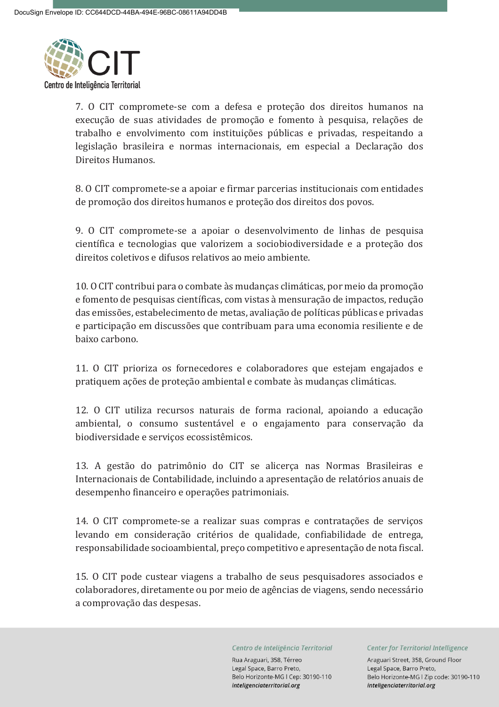

7. O CIT compromete-se com a defesa e proteção dos direitos humanos na execução de suas atividades de promoção e fomento à pesquisa, relações de trabalho e envolvimento com instituições públicas e privadas, respeitando a legislação brasileira e normas internacionais, em especial a Declaração dos Direitos Humanos.

8. O CIT compromete-se a apoiar e firmar parcerias institucionais com entidades de promoção dos direitos humanos e proteção dos direitos dos povos.

9. O CIT compromete-se a apoiar o desenvolvimento de linhas de pesquisa científica e tecnologias que valorizem a sociobiodiversidade e a proteção dos direitos coletivos e difusos relativos ao meio ambiente.

10. O CIT contribui para o combate às mudanças climáticas, por meio da promoção e fomento de pesquisas científicas, com vistas à mensuração de impactos, redução das emissões, estabelecimento de metas, avaliação de políticas públicas e privadas e participação em discussões que contribuam para uma economia resiliente e de baixo carbono.

11. O CIT prioriza os fornecedores e colaboradores que estejam engajados e pratiquem ações de proteção ambiental e combate às mudanças climáticas.

12. O CIT utiliza recursos naturais de forma racional, apoiando a educação ambiental, o consumo sustentável e o engajamento para conservação da biodiversidade e serviços ecossistêmicos.

13. A gestão do patrimônio do CIT se alicerça nas Normas Brasileiras e Internacionais de Contabilidade, incluindo a apresentação de relatórios anuais de desempenho financeiro e operações patrimoniais.

14. O CIT compromete-se a realizar suas compras e contratações de serviços levando em consideração critérios de qualidade, confiabilidade de entrega, responsabilidade socioambiental, preço competitivo e apresentação de nota fiscal.

15. O CIT pode custear viagens a trabalho de seus pesquisadores associados e colaboradores, diretamente ou por meio de agências de viagens, sendo necessário a comprovação das despesas.

Centro de Inteligência Territorial

Rua Araguari, 358, Térreo Legal Space, Barro Preto. Belo Horizonte-MG I Cep: 30190-110 inteligenciaterritorial.org

Center for Territorial Intelligence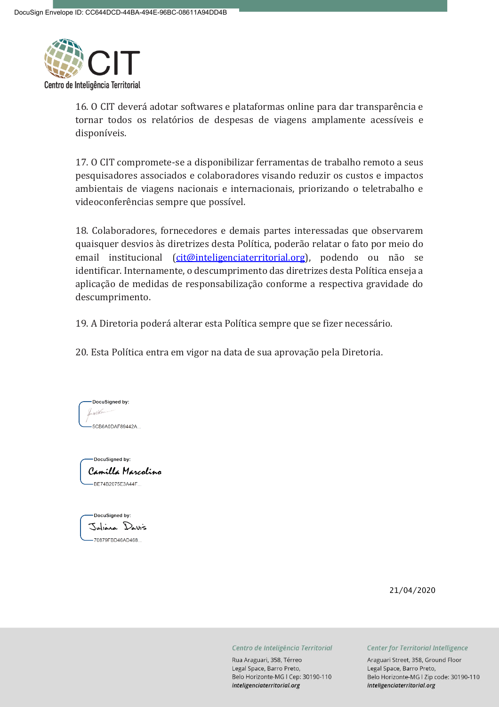

16. O CIT deverá adotar softwares e plataformas online para dar transparência e tornar todos os relatórios de despesas de viagens amplamente acessíveis e disponíveis.

17. O CIT compromete-se a disponibilizar ferramentas de trabalho remoto a seus pesquisadores associados e colaboradores visando reduzir os custos e impactos ambientais de viagens nacionais e internacionais, priorizando o teletrabalho e videoconferências sempre que possível.

18. Colaboradores, fornecedores e demais partes interessadas que observarem quaisquer desvios às diretrizes desta Política, poderão relatar o fato por meio do email institucional [\(cit@inteligenciaterritorial.org\)](mailto:cit@inteligenciaterritorial.org), podendo ou não se identificar. Internamente, o descumprimento das diretrizes desta Política enseja a aplicação de medidas de responsabilização conforme a respectiva gravidade do descumprimento.

19. A Diretoria poderá alterar esta Política sempre que se fizer necessário.

20. Esta Política entra em vigor na data de sua aprovação pela Diretoria.

DocuSianed by: Jacobs -5CB6A0DAF89442A..

DocuSianed by: Camilla Marcolino -BE74B2075E3A44F...



21/04/2020

Centro de Inteligência Territorial

Rua Araguari, 358, Térreo Legal Space, Barro Preto, Belo Horizonte-MG I Cep: 30190-110 inteligenciaterritorial.org

#### Center for Territorial Intelligence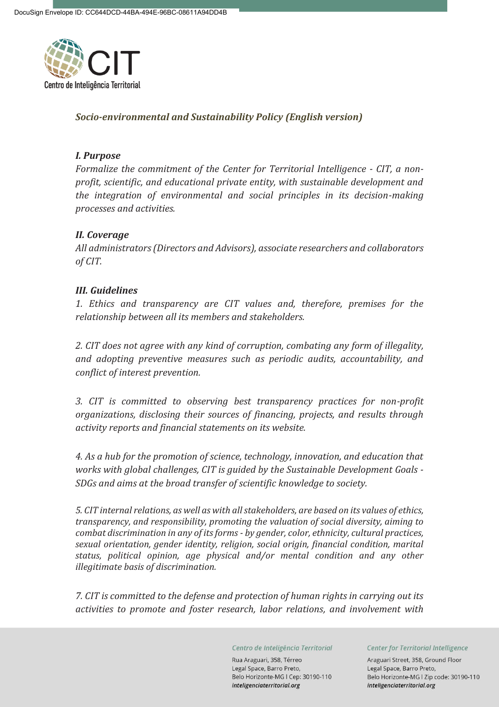

# *Socio-environmental and Sustainability Policy (English version)*

## *I. Purpose*

*Formalize the commitment of the Center for Territorial Intelligence - CIT, a nonprofit, scientific, and educational private entity, with sustainable development and the integration of environmental and social principles in its decision-making processes and activities.*

# *II. Coverage*

*All administrators (Directors and Advisors), associate researchers and collaborators of CIT.*

# *III. Guidelines*

*1. Ethics and transparency are CIT values and, therefore, premises for the relationship between all its members and stakeholders.*

*2. CIT does not agree with any kind of corruption, combating any form of illegality, and adopting preventive measures such as periodic audits, accountability, and conflict of interest prevention.*

*3. CIT is committed to observing best transparency practices for non-profit organizations, disclosing their sources of financing, projects, and results through activity reports and financial statements on its website.*

*4. As a hub for the promotion of science, technology, innovation, and education that works with global challenges, CIT is guided by the Sustainable Development Goals - SDGs and aims at the broad transfer of scientific knowledge to society.*

*5. CIT internal relations, as well as with all stakeholders, are based on its values of ethics, transparency, and responsibility, promoting the valuation of social diversity, aiming to combat discrimination in any of its forms - by gender, color, ethnicity, cultural practices, sexual orientation, gender identity, religion, social origin, financial condition, marital status, political opinion, age physical and/or mental condition and any other illegitimate basis of discrimination.*

*7. CIT is committed to the defense and protection of human rights in carrying out its activities to promote and foster research, labor relations, and involvement with* 

Centro de Inteligência Territorial

Rua Araguari, 358, Térreo Legal Space, Barro Preto, Belo Horizonte-MG I Cep: 30190-110 inteligenciaterritorial.org

Center for Territorial Intelligence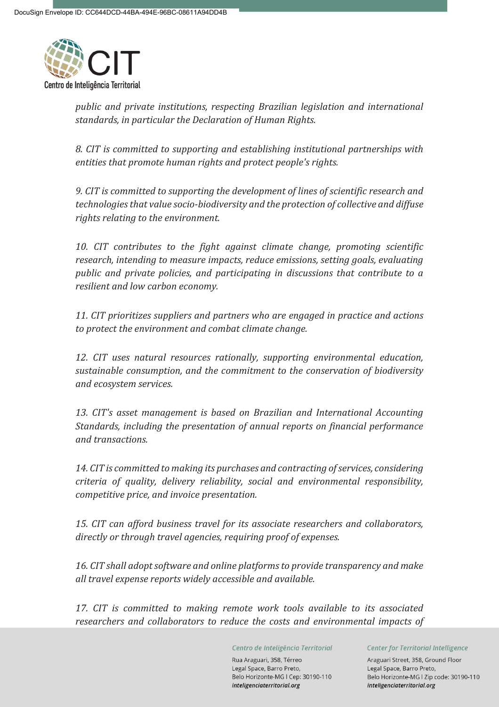

*public and private institutions, respecting Brazilian legislation and international standards, in particular the Declaration of Human Rights.*

*8. CIT is committed to supporting and establishing institutional partnerships with entities that promote human rights and protect people's rights.*

*9. CIT is committed to supporting the development of lines of scientific research and technologies that value socio-biodiversity and the protection of collective and diffuse rights relating to the environment.*

*10. CIT contributes to the fight against climate change, promoting scientific research, intending to measure impacts, reduce emissions, setting goals, evaluating public and private policies, and participating in discussions that contribute to a resilient and low carbon economy.*

*11. CIT prioritizes suppliers and partners who are engaged in practice and actions to protect the environment and combat climate change.*

*12. CIT uses natural resources rationally, supporting environmental education, sustainable consumption, and the commitment to the conservation of biodiversity and ecosystem services.*

*13. CIT's asset management is based on Brazilian and International Accounting Standards, including the presentation of annual reports on financial performance and transactions.*

*14. CIT is committed to making its purchases and contracting of services, considering criteria of quality, delivery reliability, social and environmental responsibility, competitive price, and invoice presentation.*

*15. CIT can afford business travel for its associate researchers and collaborators, directly or through travel agencies, requiring proof of expenses.*

*16. CIT shall adopt software and online platforms to provide transparency and make all travel expense reports widely accessible and available.*

*17. CIT is committed to making remote work tools available to its associated researchers and collaborators to reduce the costs and environmental impacts of* 

Centro de Inteligência Territorial

Rua Araguari, 358, Térreo Legal Space, Barro Preto, Belo Horizonte-MG I Cep: 30190-110 inteligenciaterritorial.org

Center for Territorial Intelligence